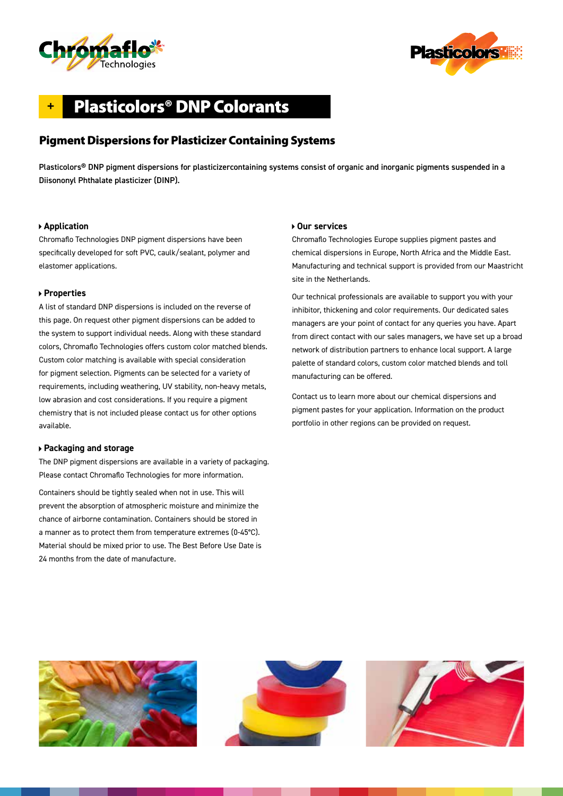



# **+** Plasticolors® DNP Colorants

## Pigment Dispersions for Plasticizer Containing Systems

Plasticolors® DNP pigment dispersions for plasticizercontaining systems consist of organic and inorganic pigments suspended in a Diisononyl Phthalate plasticizer (DINP).

#### **Application**

Chromaflo Technologies DNP pigment dispersions have been specifically developed for soft PVC, caulk/sealant, polymer and elastomer applications.

#### **Properties**

A list of standard DNP dispersions is included on the reverse of this page. On request other pigment dispersions can be added to the system to support individual needs. Along with these standard colors, Chromaflo Technologies offers custom color matched blends. Custom color matching is available with special consideration for pigment selection. Pigments can be selected for a variety of requirements, including weathering, UV stability, non-heavy metals, low abrasion and cost considerations. If you require a pigment chemistry that is not included please contact us for other options available.

#### **Packaging and storage**

The DNP pigment dispersions are available in a variety of packaging. Please contact Chromaflo Technologies for more information.

Containers should be tightly sealed when not in use. This will prevent the absorption of atmospheric moisture and minimize the chance of airborne contamination. Containers should be stored in a manner as to protect them from temperature extremes (0-45°C). Material should be mixed prior to use. The Best Before Use Date is 24 months from the date of manufacture.

#### **Our services**

Chromaflo Technologies Europe supplies pigment pastes and chemical dispersions in Europe, North Africa and the Middle East. Manufacturing and technical support is provided from our Maastricht site in the Netherlands.

Our technical professionals are available to support you with your inhibitor, thickening and color requirements. Our dedicated sales managers are your point of contact for any queries you have. Apart from direct contact with our sales managers, we have set up a broad network of distribution partners to enhance local support. A large palette of standard colors, custom color matched blends and toll manufacturing can be offered.

Contact us to learn more about our chemical dispersions and pigment pastes for your application. Information on the product portfolio in other regions can be provided on request.